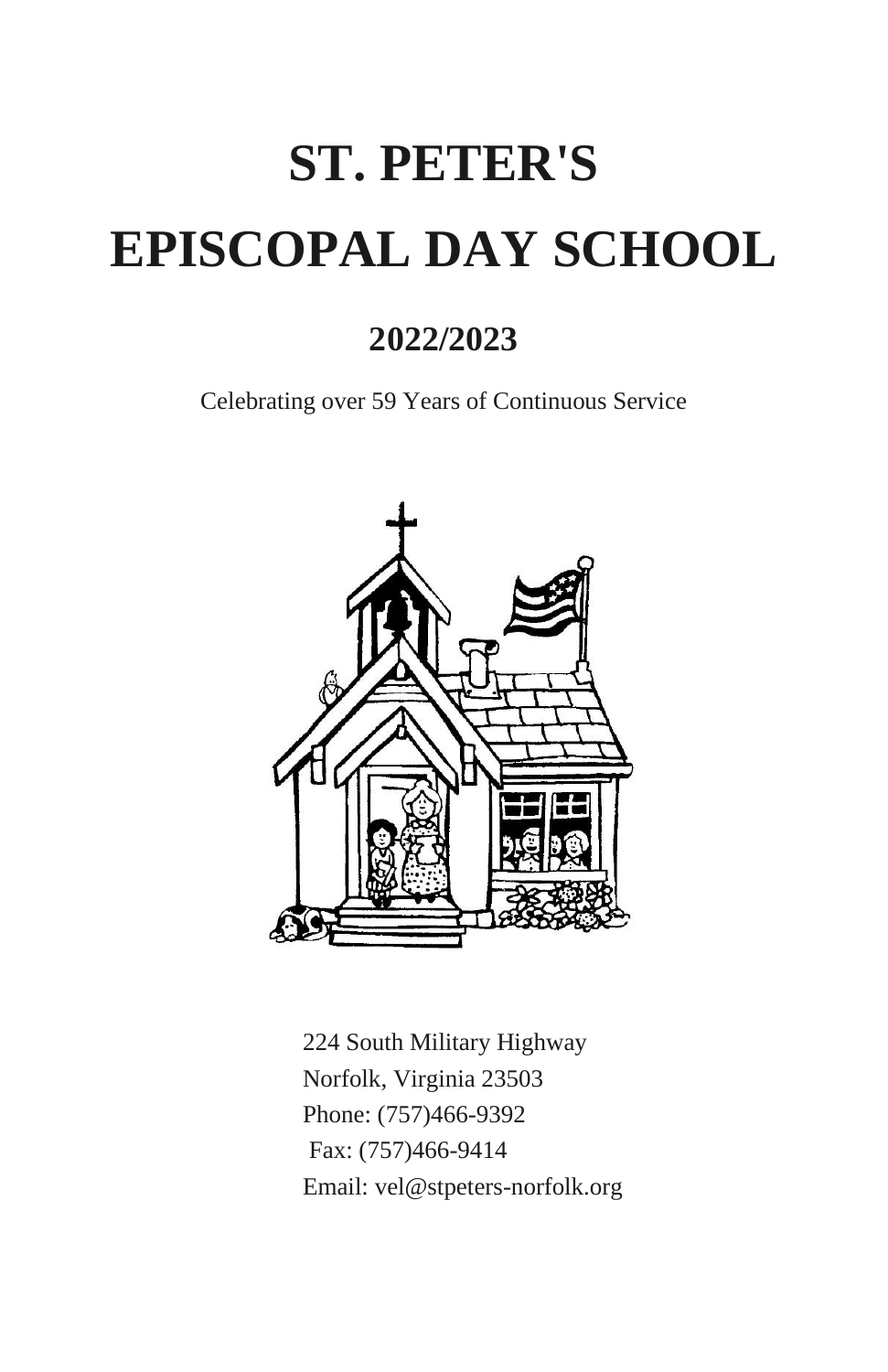# **ST. PETER'S EPISCOPAL DAY SCHOOL**

# **2022/2023**

Celebrating over 59 Years of Continuous Service



224 South Military Highway Norfolk, Virginia 23503 Phone: (757)466-9392 Fax: (757)466-9414 Email: vel@stpeters-norfolk.org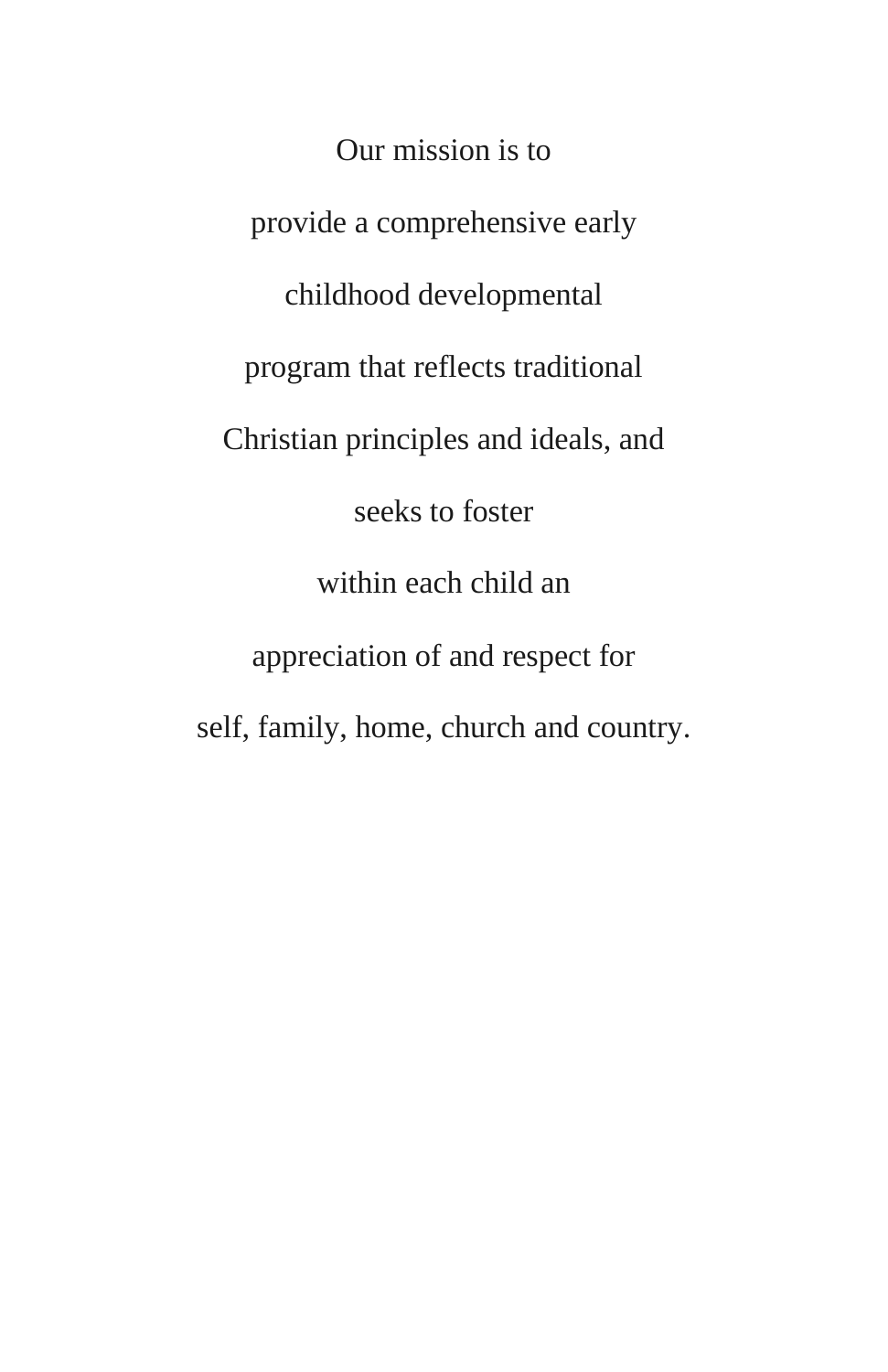Our mission is to provide a comprehensive early childhood developmental program that reflects traditional Christian principles and ideals, and seeks to foster within each child an appreciation of and respect for self, family, home, church and country.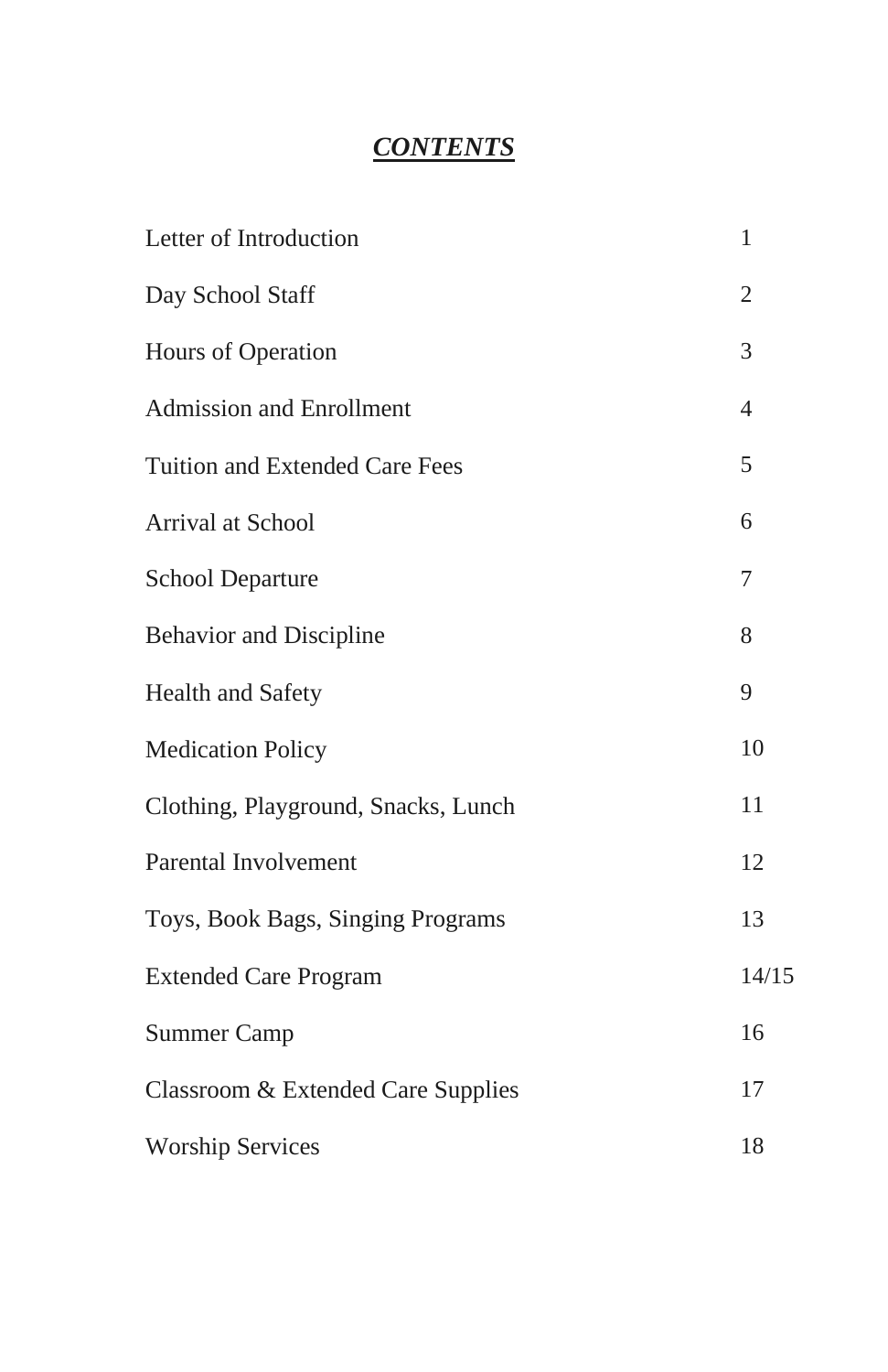# *CONTENTS*

| Letter of Introduction              | $\mathbf{1}$ |
|-------------------------------------|--------------|
| Day School Staff                    | 2            |
| Hours of Operation                  | 3            |
| <b>Admission and Enrollment</b>     | 4            |
| Tuition and Extended Care Fees      | 5            |
| Arrival at School                   | 6            |
| <b>School Departure</b>             | 7            |
| <b>Behavior and Discipline</b>      | 8            |
| Health and Safety                   | 9            |
| <b>Medication Policy</b>            | 10           |
| Clothing, Playground, Snacks, Lunch | 11           |
| Parental Involvement                | 12           |
| Toys, Book Bags, Singing Programs   | 13           |
| <b>Extended Care Program</b>        | 14/15        |
| <b>Summer Camp</b>                  | 16           |
| Classroom & Extended Care Supplies  | 17           |
| <b>Worship Services</b>             | 18           |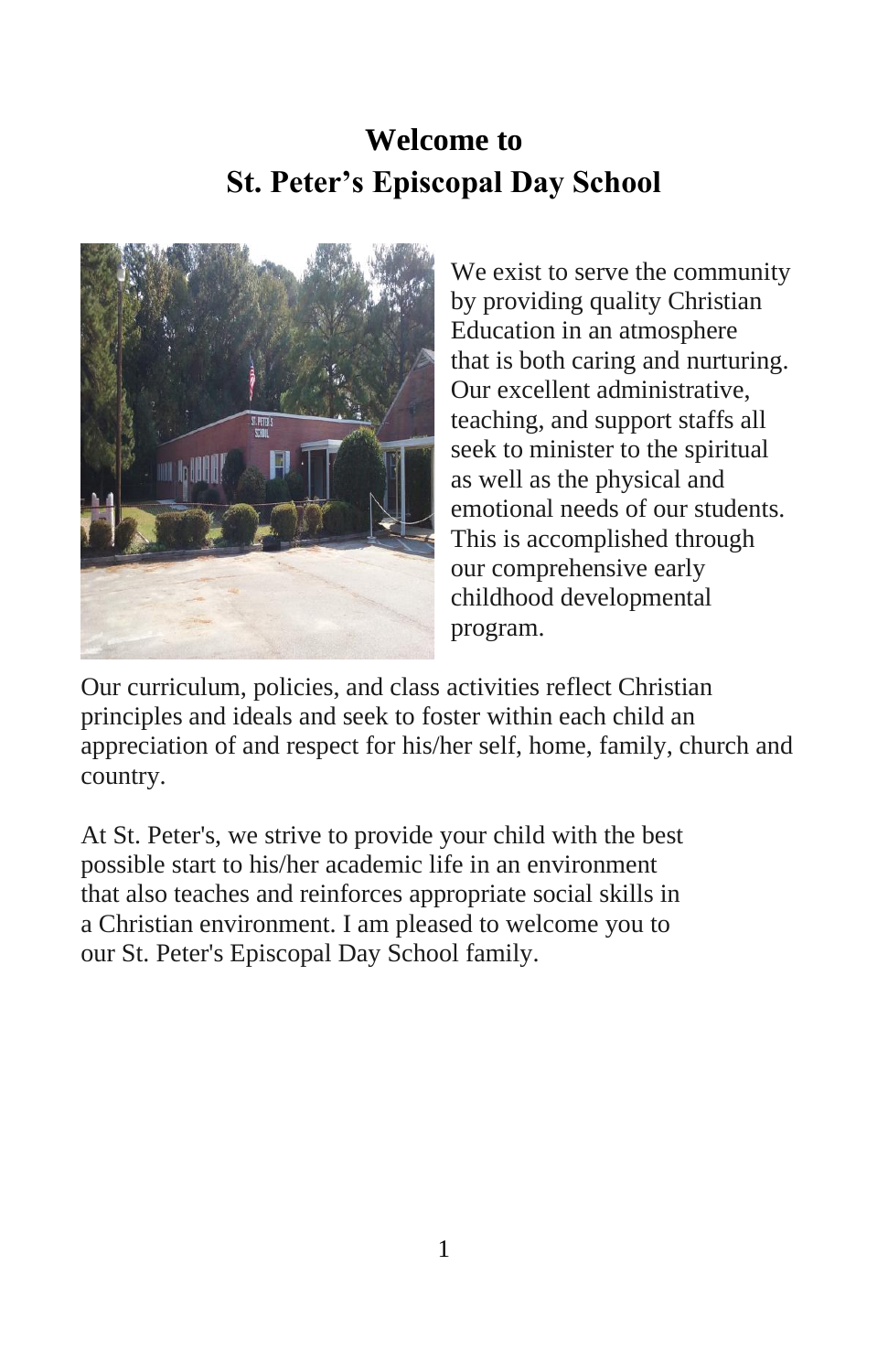# **Welcome to St. Peter's Episcopal Day School**



We exist to serve the community by providing quality Christian Education in an atmosphere that is both caring and nurturing. Our excellent administrative, teaching, and support staffs all seek to minister to the spiritual as well as the physical and emotional needs of our students. This is accomplished through our comprehensive early childhood developmental program.

Our curriculum, policies, and class activities reflect Christian principles and ideals and seek to foster within each child an appreciation of and respect for his/her self, home, family, church and country.

At St. Peter's, we strive to provide your child with the best possible start to his/her academic life in an environment that also teaches and reinforces appropriate social skills in a Christian environment. I am pleased to welcome you to our St. Peter's Episcopal Day School family.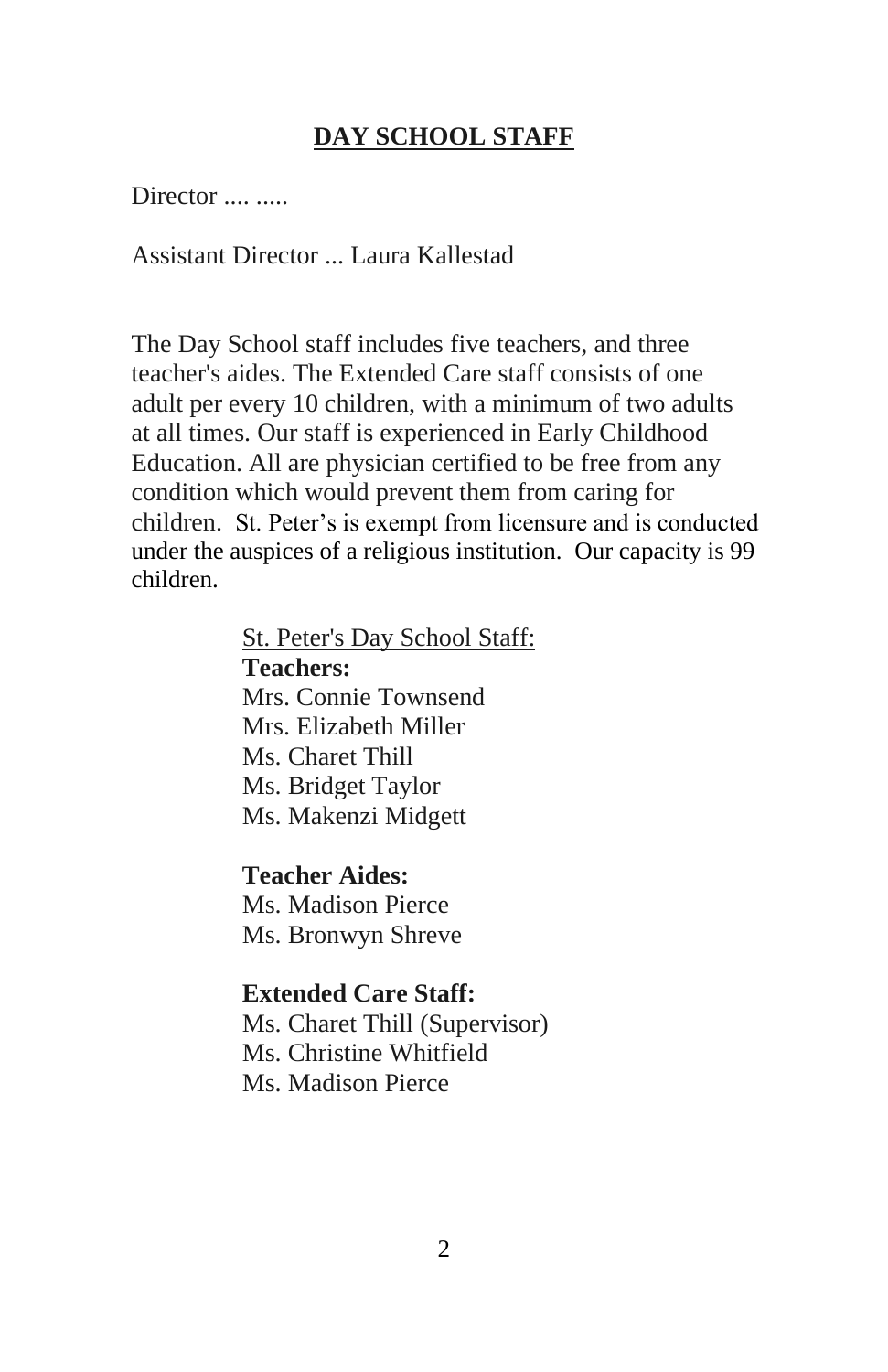#### **DAY SCHOOL STAFF**

Director .... .....

Assistant Director ... Laura Kallestad

The Day School staff includes five teachers, and three teacher's aides. The Extended Care staff consists of one adult per every 10 children, with a minimum of two adults at all times. Our staff is experienced in Early Childhood Education. All are physician certified to be free from any condition which would prevent them from caring for children. St. Peter's is exempt from licensure and is conducted under the auspices of a religious institution. Our capacity is 99 children.

> St. Peter's Day School Staff: **Teachers:** Mrs. Connie Townsend Mrs. Elizabeth Miller Ms. Charet Thill Ms. Bridget Taylor Ms. Makenzi Midgett

**Teacher Aides:** Ms. Madison Pierce Ms. Bronwyn Shreve

# **Extended Care Staff:**

Ms. Charet Thill (Supervisor) Ms. Christine Whitfield Ms. Madison Pierce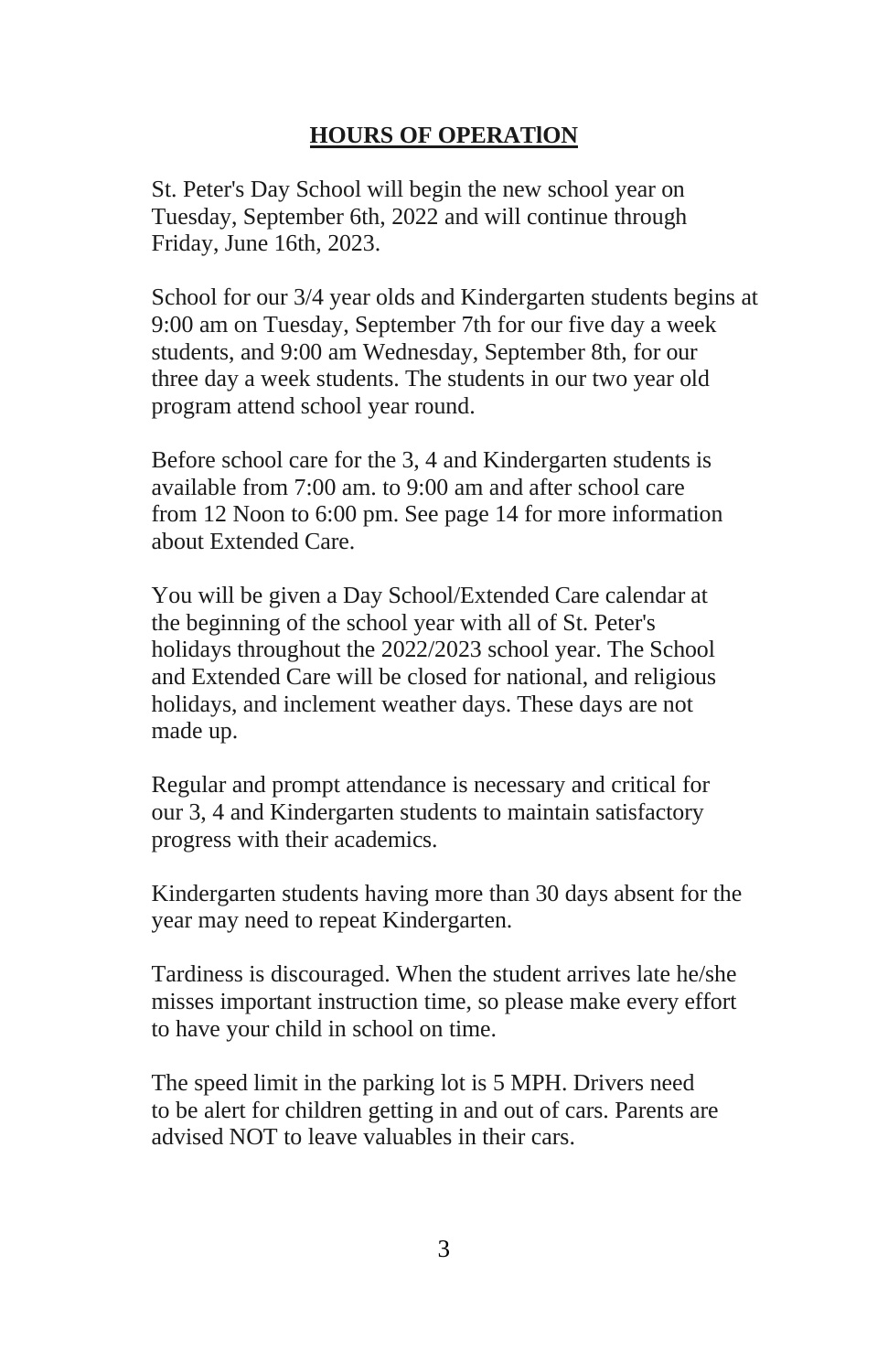#### **HOURS OF OPERATlON**

St. Peter's Day School will begin the new school year on Tuesday, September 6th, 2022 and will continue through Friday, June 16th, 2023.

School for our 3/4 year olds and Kindergarten students begins at 9:00 am on Tuesday, September 7th for our five day a week students, and 9:00 am Wednesday, September 8th, for our three day a week students. The students in our two year old program attend school year round.

Before school care for the 3, 4 and Kindergarten students is available from 7:00 am. to 9:00 am and after school care from 12 Noon to 6:00 pm. See page 14 for more information about Extended Care.

You will be given a Day School/Extended Care calendar at the beginning of the school year with all of St. Peter's holidays throughout the 2022/2023 school year. The School and Extended Care will be closed for national, and religious holidays, and inclement weather days. These days are not made up.

Regular and prompt attendance is necessary and critical for our 3, 4 and Kindergarten students to maintain satisfactory progress with their academics.

Kindergarten students having more than 30 days absent for the year may need to repeat Kindergarten.

Tardiness is discouraged. When the student arrives late he/she misses important instruction time, so please make every effort to have your child in school on time.

The speed limit in the parking lot is 5 MPH. Drivers need to be alert for children getting in and out of cars. Parents are advised NOT to leave valuables in their cars.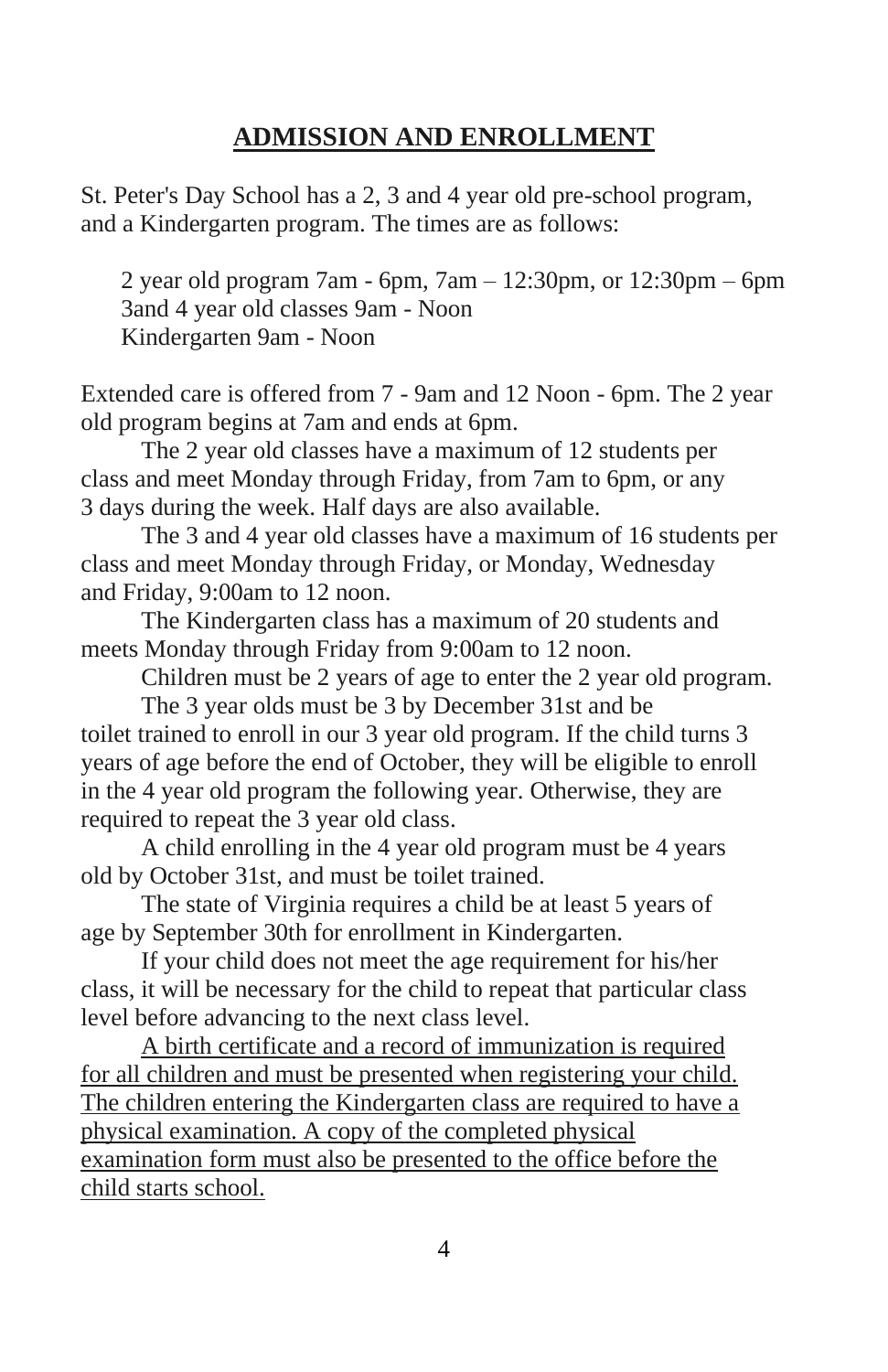## **ADMISSION AND ENROLLMENT**

St. Peter's Day School has a 2, 3 and 4 year old pre-school program, and a Kindergarten program. The times are as follows:

2 year old program 7am - 6pm, 7am – 12:30pm, or 12:30pm – 6pm 3and 4 year old classes 9am - Noon Kindergarten 9am - Noon

Extended care is offered from 7 - 9am and 12 Noon - 6pm. The 2 year old program begins at 7am and ends at 6pm.

The 2 year old classes have a maximum of 12 students per class and meet Monday through Friday, from 7am to 6pm, or any 3 days during the week. Half days are also available.

The 3 and 4 year old classes have a maximum of 16 students per class and meet Monday through Friday, or Monday, Wednesday and Friday, 9:00am to 12 noon.

The Kindergarten class has a maximum of 20 students and meets Monday through Friday from 9:00am to 12 noon.

Children must be 2 years of age to enter the 2 year old program.

The 3 year olds must be 3 by December 31st and be toilet trained to enroll in our 3 year old program. If the child turns 3 years of age before the end of October, they will be eligible to enroll in the 4 year old program the following year. Otherwise, they are required to repeat the 3 year old class.

A child enrolling in the 4 year old program must be 4 years old by October 31st, and must be toilet trained.

The state of Virginia requires a child be at least 5 years of age by September 30th for enrollment in Kindergarten.

If your child does not meet the age requirement for his/her class, it will be necessary for the child to repeat that particular class level before advancing to the next class level.

A birth certificate and a record of immunization is required for all children and must be presented when registering your child. The children entering the Kindergarten class are required to have a physical examination. A copy of the completed physical examination form must also be presented to the office before the child starts school.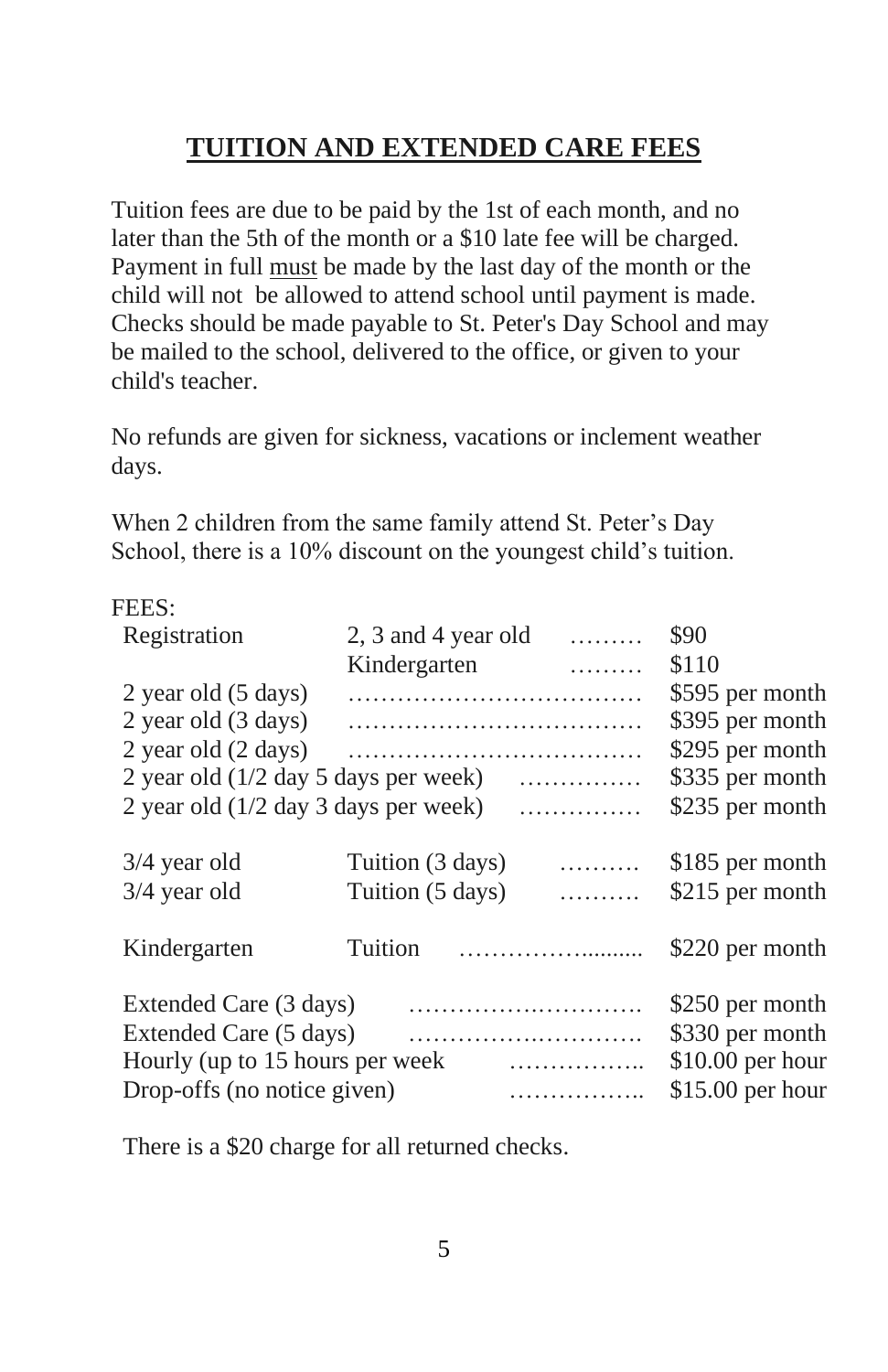# **TUITION AND EXTENDED CARE FEES**

Tuition fees are due to be paid by the 1st of each month, and no later than the 5th of the month or a \$10 late fee will be charged. Payment in full must be made by the last day of the month or the child will not be allowed to attend school until payment is made. Checks should be made payable to St. Peter's Day School and may be mailed to the school, delivered to the office, or given to your child's teacher.

No refunds are given for sickness, vacations or inclement weather days.

When 2 children from the same family attend St. Peter's Day School, there is a 10% discount on the youngest child's tuition.

#### FEES:

| Registration                           | 2, 3 and 4 year old | . | \$90              |
|----------------------------------------|---------------------|---|-------------------|
|                                        | Kindergarten        | . | \$110             |
| 2 year old (5 days)                    |                     |   | \$595 per month   |
| 2 year old (3 days)                    |                     |   | \$395 per month   |
| 2 year old (2 days)                    |                     |   | \$295 per month   |
| 2 year old $(1/2$ day 5 days per week) |                     | . | \$335 per month   |
| 2 year old $(1/2$ day 3 days per week) |                     | . | \$235 per month   |
|                                        |                     |   |                   |
| $3/4$ year old                         | Tuition (3 days)    | . | \$185 per month   |
| $3/4$ year old                         | Tuition (5 days)    | . | \$215 per month   |
| Kindergarten                           | Tuition             |   | \$220 per month   |
| Extended Care (3 days)                 |                     |   | \$250 per month   |
| Extended Care (5 days)                 |                     |   | \$330 per month   |
| Hourly (up to 15 hours per week        |                     | . | \$10.00 per hour  |
| Drop-offs (no notice given)            |                     | . | $$15.00$ per hour |
|                                        |                     |   |                   |

There is a \$20 charge for all returned checks.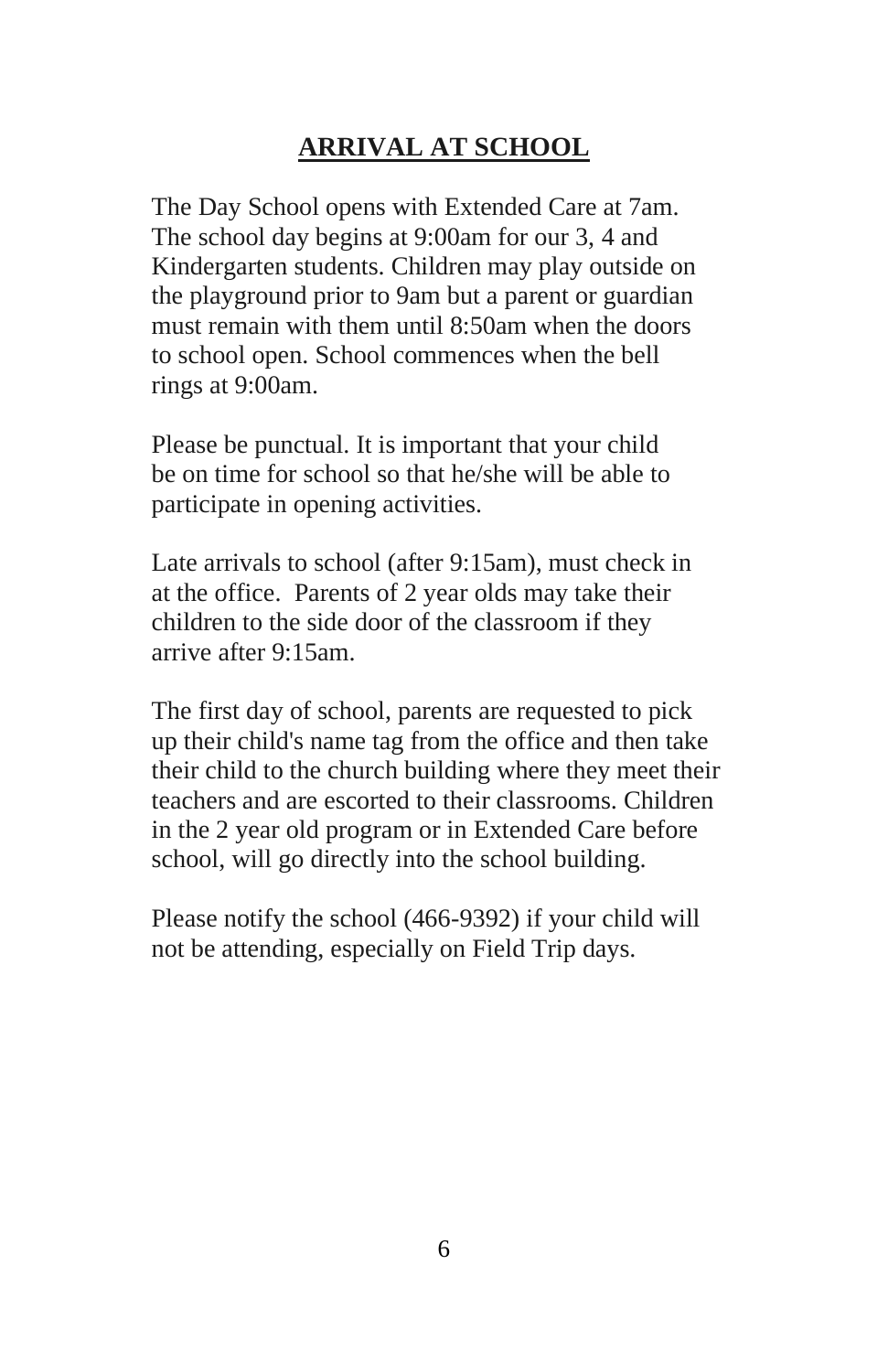# **ARRIVAL AT SCHOOL**

The Day School opens with Extended Care at 7am. The school day begins at 9:00am for our 3, 4 and Kindergarten students. Children may play outside on the playground prior to 9am but a parent or guardian must remain with them until 8:50am when the doors to school open. School commences when the bell rings at 9:00am.

Please be punctual. It is important that your child be on time for school so that he/she will be able to participate in opening activities.

Late arrivals to school (after 9:15am), must check in at the office. Parents of 2 year olds may take their children to the side door of the classroom if they arrive after 9:15am.

The first day of school, parents are requested to pick up their child's name tag from the office and then take their child to the church building where they meet their teachers and are escorted to their classrooms. Children in the 2 year old program or in Extended Care before school, will go directly into the school building.

Please notify the school (466-9392) if your child will not be attending, especially on Field Trip days.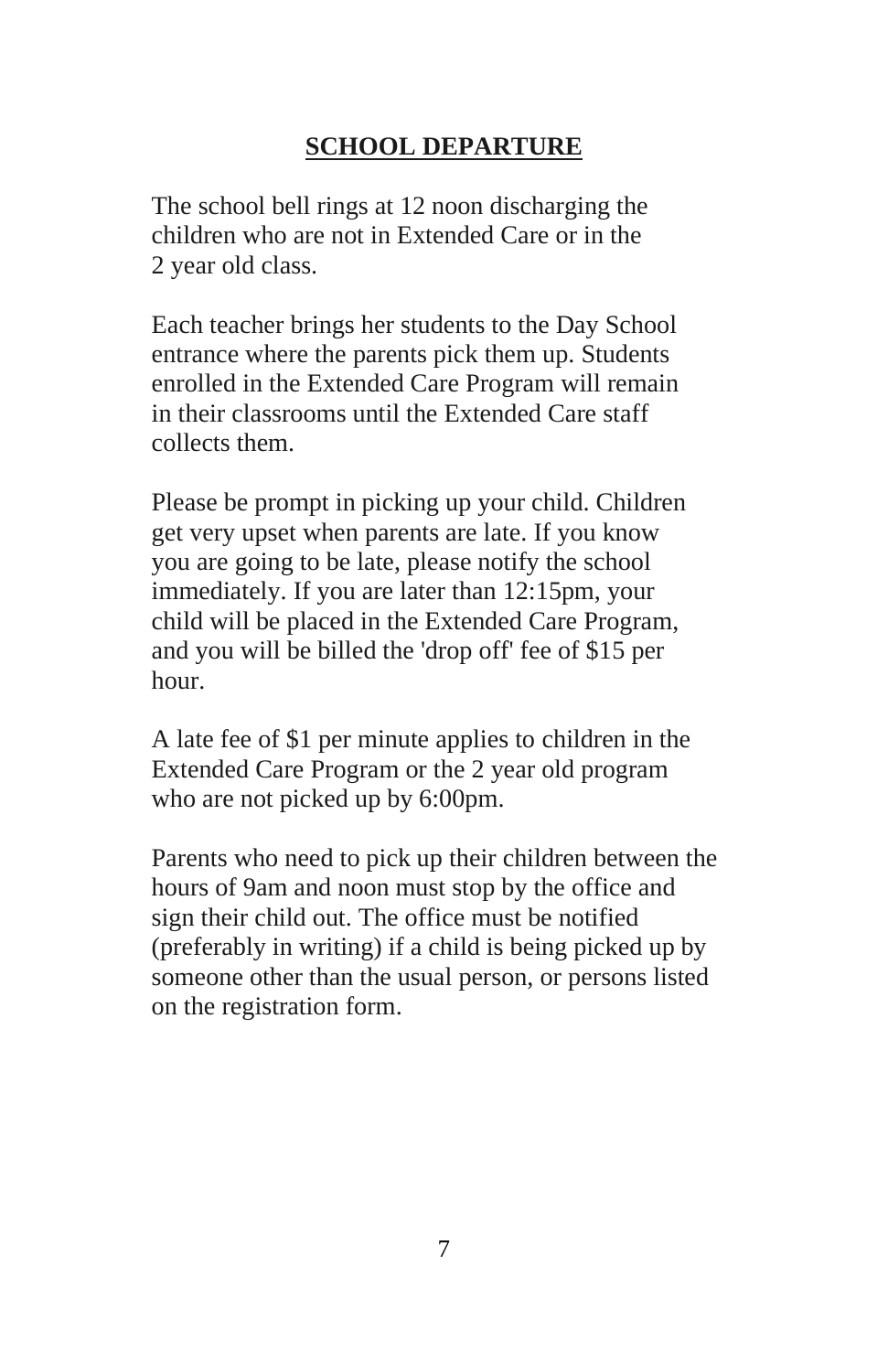# **SCHOOL DEPARTURE**

The school bell rings at 12 noon discharging the children who are not in Extended Care or in the 2 year old class.

Each teacher brings her students to the Day School entrance where the parents pick them up. Students enrolled in the Extended Care Program will remain in their classrooms until the Extended Care staff collects them.

Please be prompt in picking up your child. Children get very upset when parents are late. If you know you are going to be late, please notify the school immediately. If you are later than 12:15pm, your child will be placed in the Extended Care Program, and you will be billed the 'drop off' fee of \$15 per hour.

A late fee of \$1 per minute applies to children in the Extended Care Program or the 2 year old program who are not picked up by 6:00pm.

Parents who need to pick up their children between the hours of 9am and noon must stop by the office and sign their child out. The office must be notified (preferably in writing) if a child is being picked up by someone other than the usual person, or persons listed on the registration form.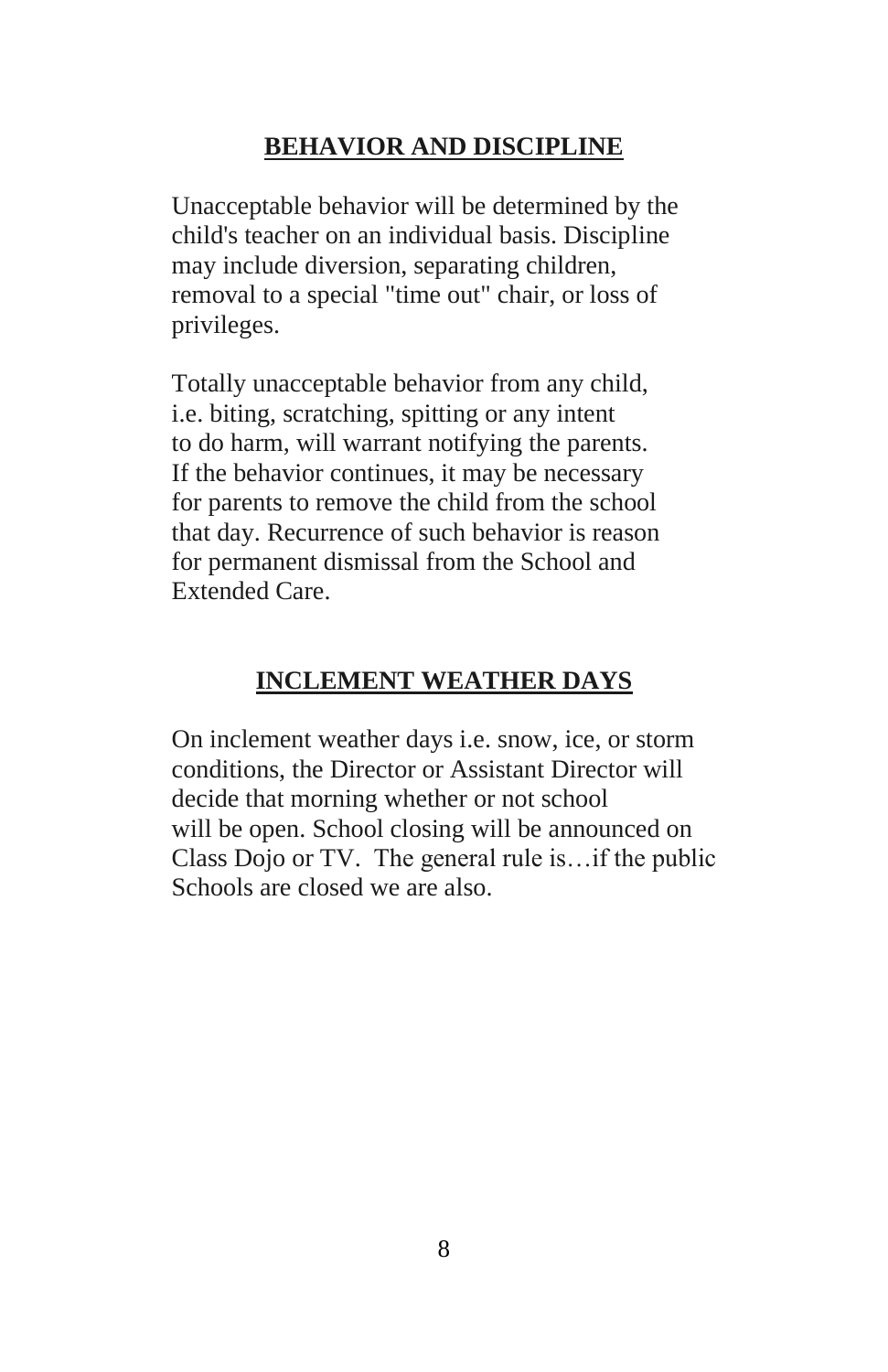## **BEHAVIOR AND DISCIPLINE**

Unacceptable behavior will be determined by the child's teacher on an individual basis. Discipline may include diversion, separating children, removal to a special "time out" chair, or loss of privileges.

Totally unacceptable behavior from any child, i.e. biting, scratching, spitting or any intent to do harm, will warrant notifying the parents. If the behavior continues, it may be necessary for parents to remove the child from the school that day. Recurrence of such behavior is reason for permanent dismissal from the School and Extended Care.

#### **INCLEMENT WEATHER DAYS**

On inclement weather days i.e. snow, ice, or storm conditions, the Director or Assistant Director will decide that morning whether or not school will be open. School closing will be announced on Class Dojo or TV. The general rule is…if the public Schools are closed we are also.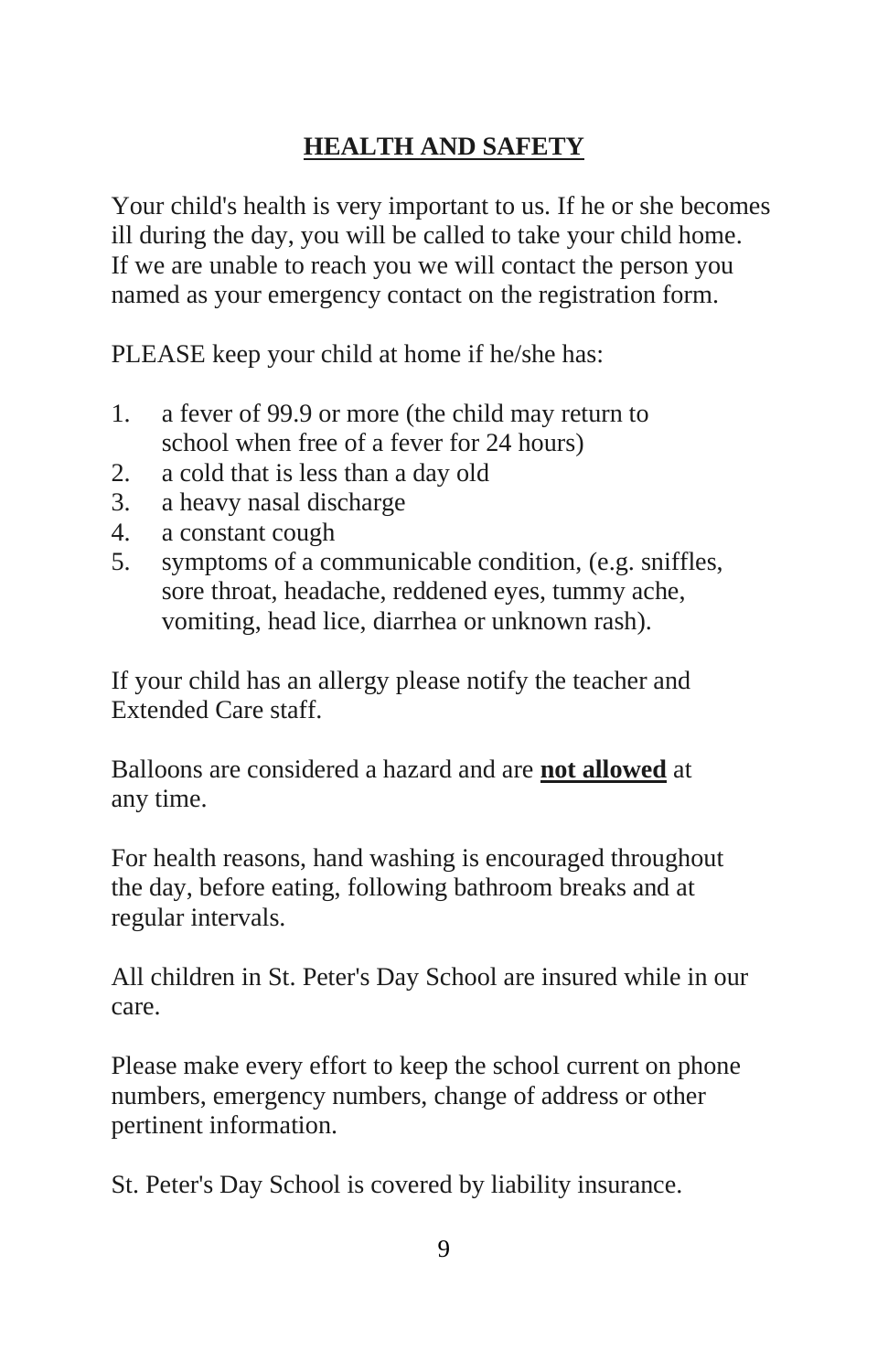# **HEALTH AND SAFETY**

Your child's health is very important to us. If he or she becomes ill during the day, you will be called to take your child home. If we are unable to reach you we will contact the person you named as your emergency contact on the registration form.

PLEASE keep your child at home if he/she has:

- 1. a fever of 99.9 or more (the child may return to school when free of a fever for 24 hours)
- 2. a cold that is less than a day old
- 3. a heavy nasal discharge
- 4. a constant cough
- 5. symptoms of a communicable condition, (e.g. sniffles, sore throat, headache, reddened eyes, tummy ache, vomiting, head lice, diarrhea or unknown rash).

If your child has an allergy please notify the teacher and Extended Care staff.

Balloons are considered a hazard and are **not allowed** at any time.

For health reasons, hand washing is encouraged throughout the day, before eating, following bathroom breaks and at regular intervals.

All children in St. Peter's Day School are insured while in our care.

Please make every effort to keep the school current on phone numbers, emergency numbers, change of address or other pertinent information.

St. Peter's Day School is covered by liability insurance.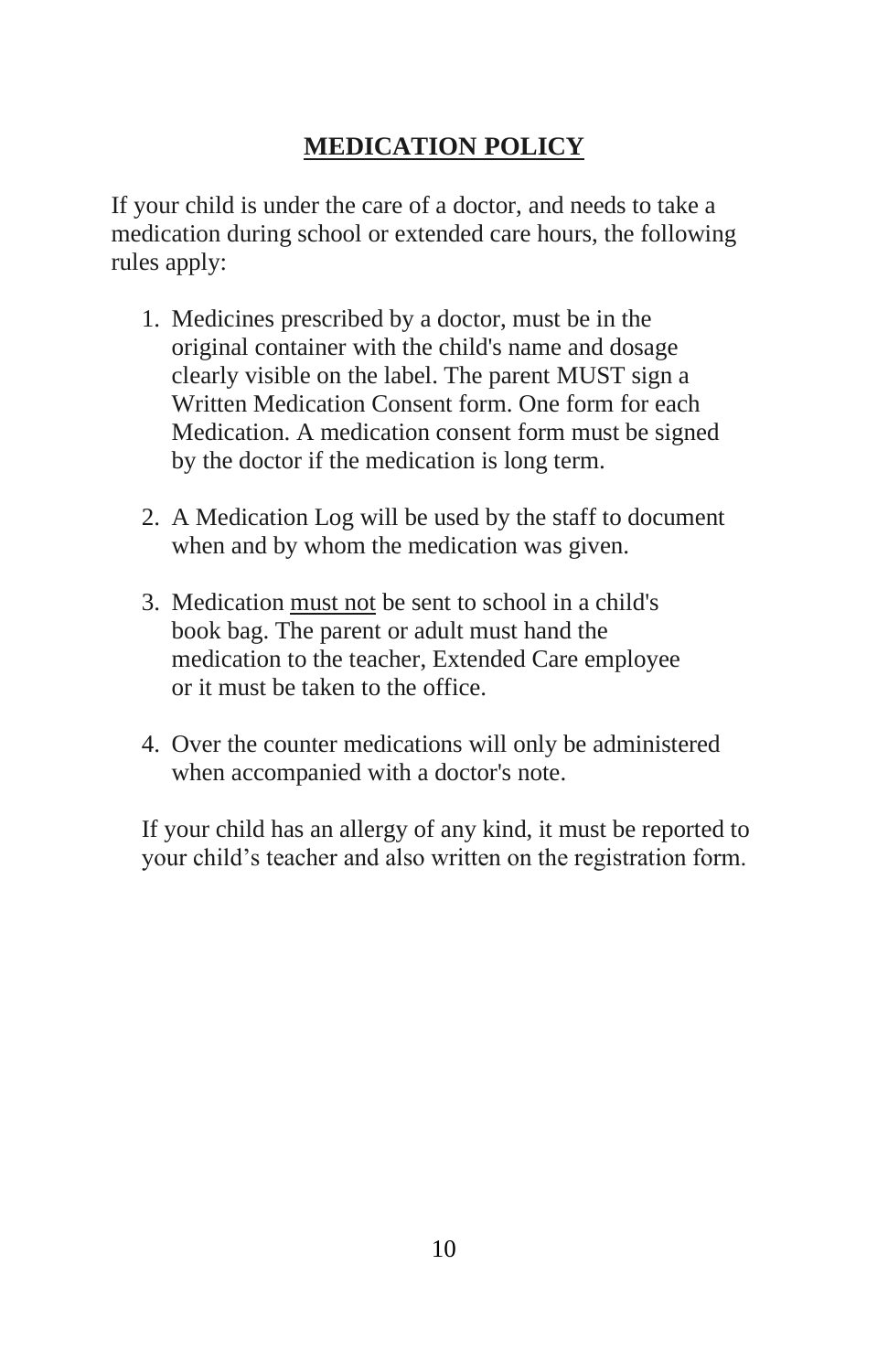# **MEDICATION POLICY**

If your child is under the care of a doctor, and needs to take a medication during school or extended care hours, the following rules apply:

- 1. Medicines prescribed by a doctor, must be in the original container with the child's name and dosage clearly visible on the label. The parent MUST sign a Written Medication Consent form. One form for each Medication. A medication consent form must be signed by the doctor if the medication is long term.
- 2. A Medication Log will be used by the staff to document when and by whom the medication was given.
- 3. Medication must not be sent to school in a child's book bag. The parent or adult must hand the medication to the teacher, Extended Care employee or it must be taken to the office.
- 4. Over the counter medications will only be administered when accompanied with a doctor's note.

If your child has an allergy of any kind, it must be reported to your child's teacher and also written on the registration form.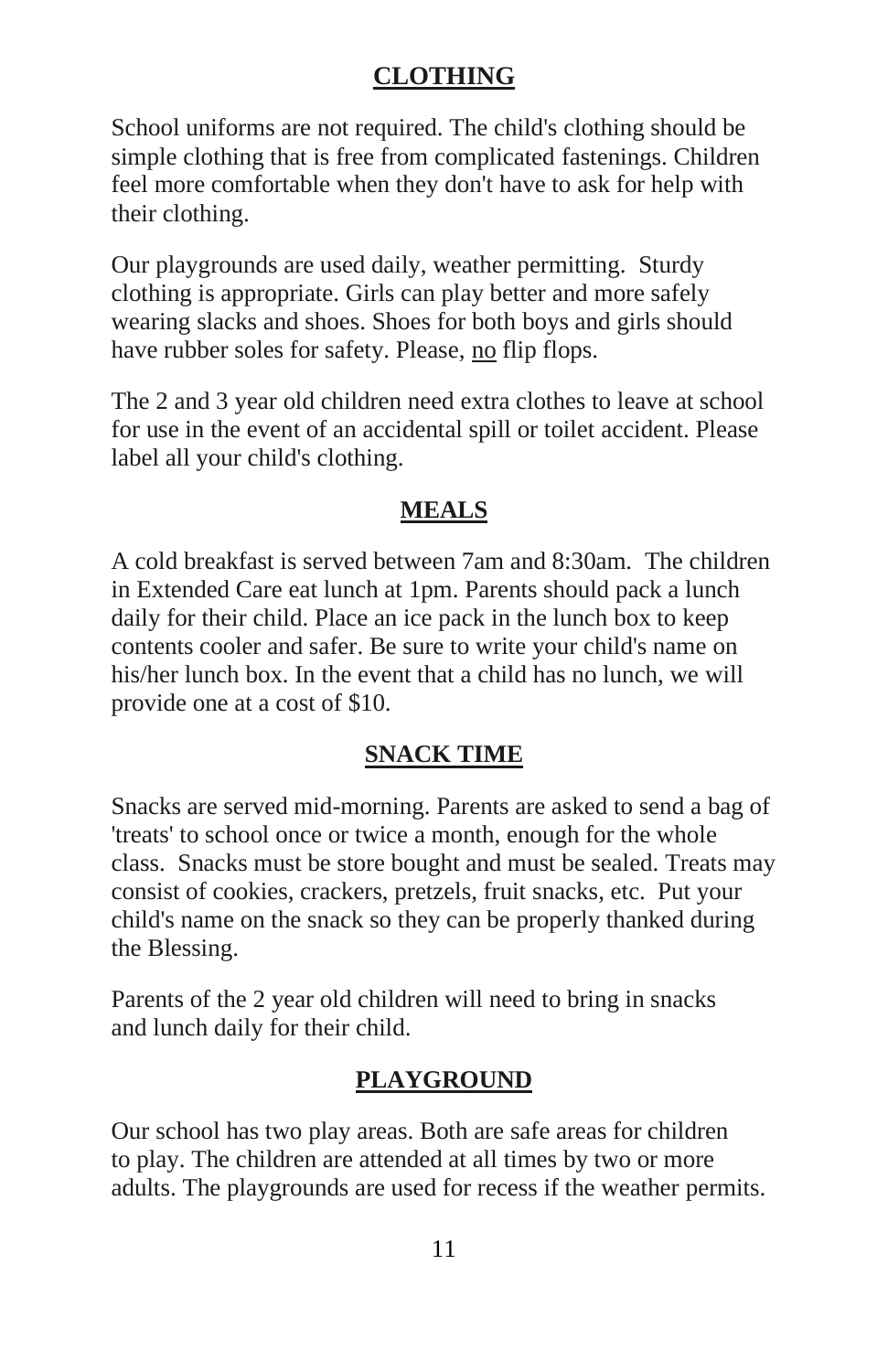## **CLOTHING**

School uniforms are not required. The child's clothing should be simple clothing that is free from complicated fastenings. Children feel more comfortable when they don't have to ask for help with their clothing.

Our playgrounds are used daily, weather permitting. Sturdy clothing is appropriate. Girls can play better and more safely wearing slacks and shoes. Shoes for both boys and girls should have rubber soles for safety. Please, no flip flops.

The 2 and 3 year old children need extra clothes to leave at school for use in the event of an accidental spill or toilet accident. Please label all your child's clothing.

## **MEALS**

A cold breakfast is served between 7am and 8:30am. The children in Extended Care eat lunch at 1pm. Parents should pack a lunch daily for their child. Place an ice pack in the lunch box to keep contents cooler and safer. Be sure to write your child's name on his/her lunch box. In the event that a child has no lunch, we will provide one at a cost of \$10.

## **SNACK TIME**

Snacks are served mid-morning. Parents are asked to send a bag of 'treats' to school once or twice a month, enough for the whole class. Snacks must be store bought and must be sealed. Treats may consist of cookies, crackers, pretzels, fruit snacks, etc. Put your child's name on the snack so they can be properly thanked during the Blessing.

Parents of the 2 year old children will need to bring in snacks and lunch daily for their child.

## **PLAYGROUND**

Our school has two play areas. Both are safe areas for children to play. The children are attended at all times by two or more adults. The playgrounds are used for recess if the weather permits.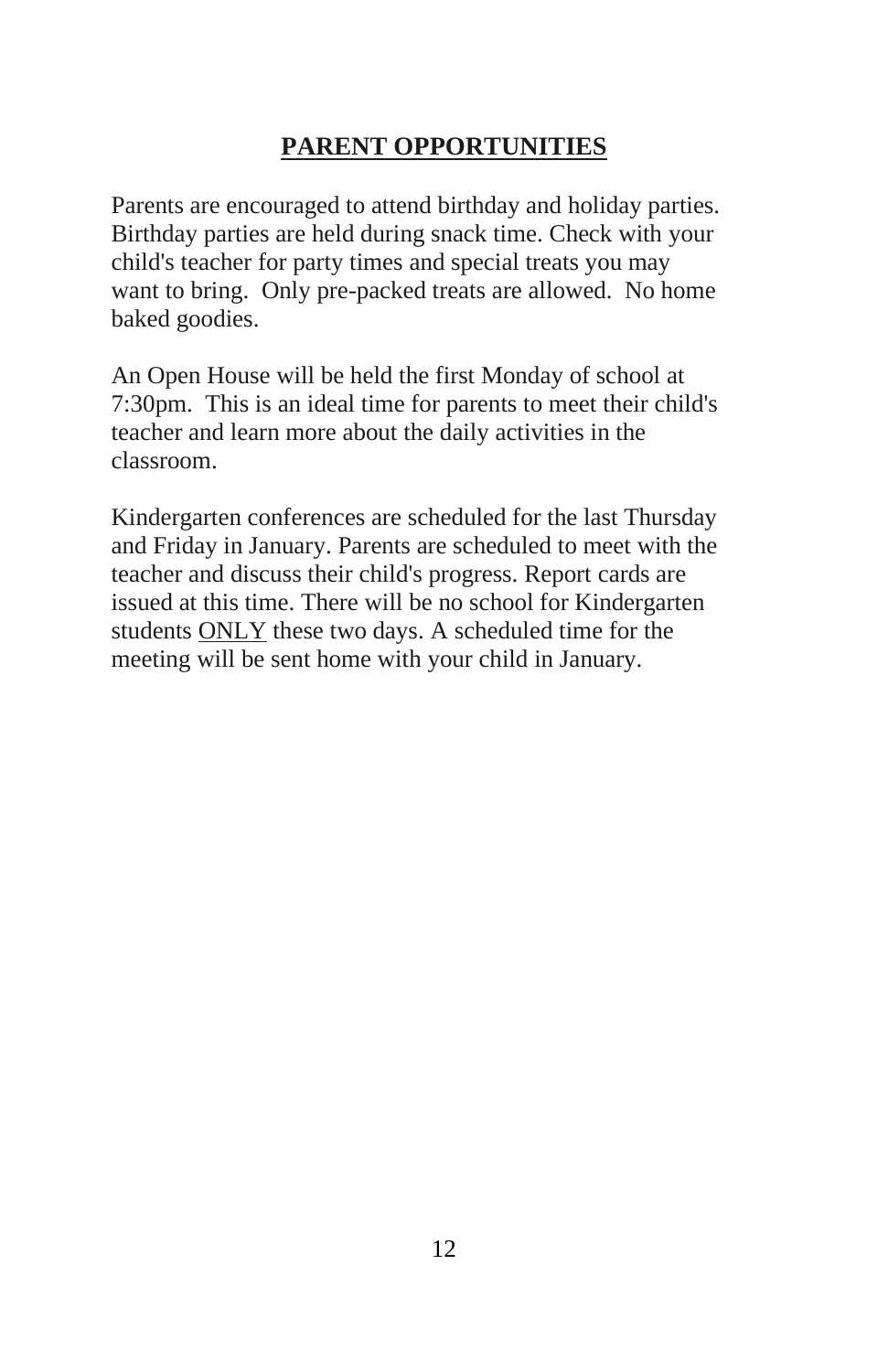# **PARENT OPPORTUNITIES**

Parents are encouraged to attend birthday and holiday parties. Birthday parties are held during snack time. Check with your child's teacher for party times and special treats you may want to bring. Only pre-packed treats are allowed. No home baked goodies.

An Open House will be held the first Monday of school at 7:30pm. This is an ideal time for parents to meet their child's teacher and learn more about the daily activities in the classroom.

Kindergarten conferences are scheduled for the last Thursday and Friday in January. Parents are scheduled to meet with the teacher and discuss their child's progress. Report cards are issued at this time. There will be no school for Kindergarten students ONLY these two days. A scheduled time for the meeting will be sent home with your child in January.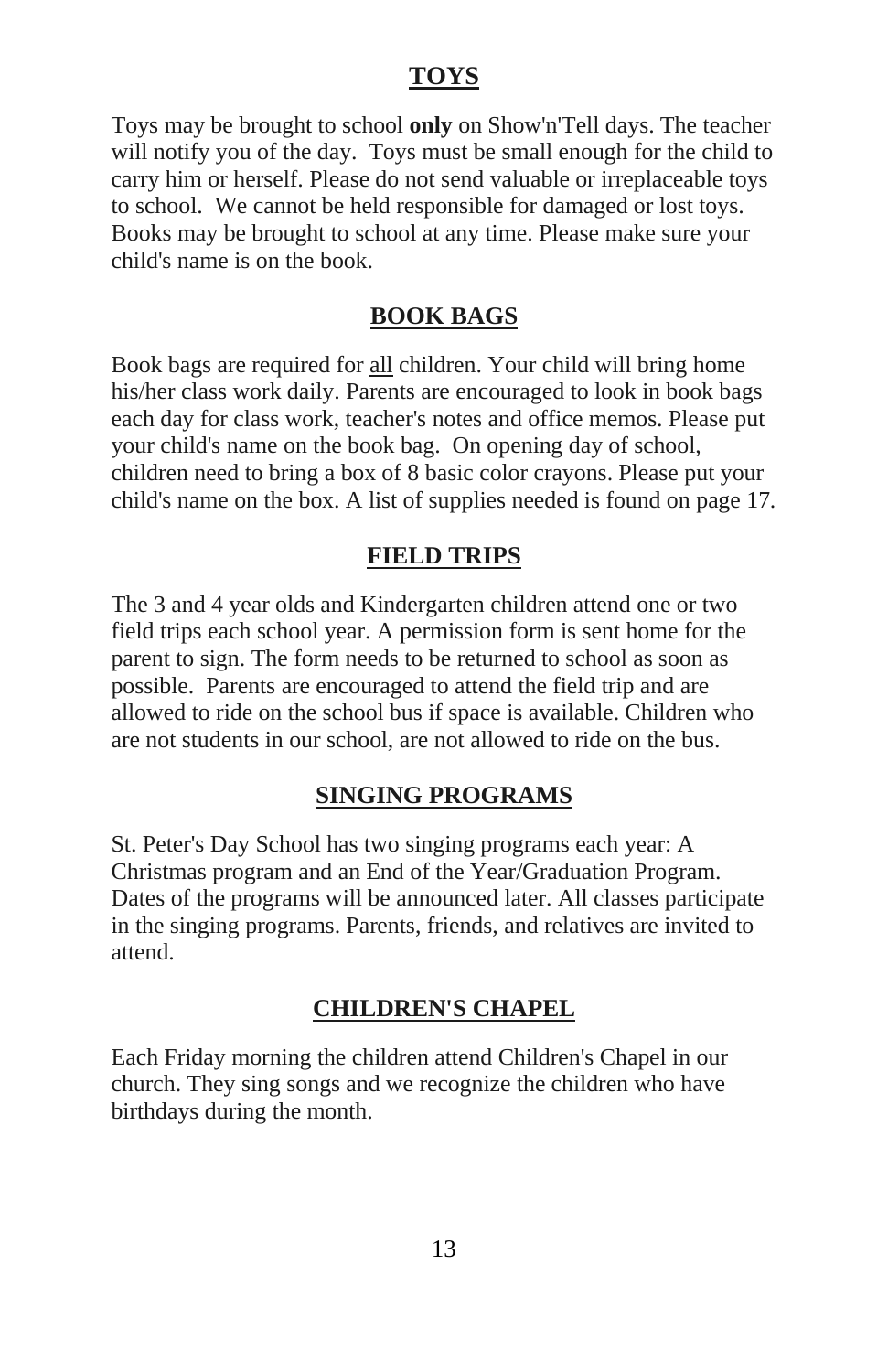#### **TOYS**

Toys may be brought to school **only** on Show'n'Tell days. The teacher will notify you of the day. Toys must be small enough for the child to carry him or herself. Please do not send valuable or irreplaceable toys to school. We cannot be held responsible for damaged or lost toys. Books may be brought to school at any time. Please make sure your child's name is on the book.

#### **BOOK BAGS**

Book bags are required for all children. Your child will bring home his/her class work daily. Parents are encouraged to look in book bags each day for class work, teacher's notes and office memos. Please put your child's name on the book bag. On opening day of school, children need to bring a box of 8 basic color crayons. Please put your child's name on the box. A list of supplies needed is found on page 17.

#### **FIELD TRIPS**

The 3 and 4 year olds and Kindergarten children attend one or two field trips each school year. A permission form is sent home for the parent to sign. The form needs to be returned to school as soon as possible. Parents are encouraged to attend the field trip and are allowed to ride on the school bus if space is available. Children who are not students in our school, are not allowed to ride on the bus.

#### **SINGING PROGRAMS**

St. Peter's Day School has two singing programs each year: A Christmas program and an End of the Year/Graduation Program. Dates of the programs will be announced later. All classes participate in the singing programs. Parents, friends, and relatives are invited to attend.

#### **CHILDREN'S CHAPEL**

Each Friday morning the children attend Children's Chapel in our church. They sing songs and we recognize the children who have birthdays during the month.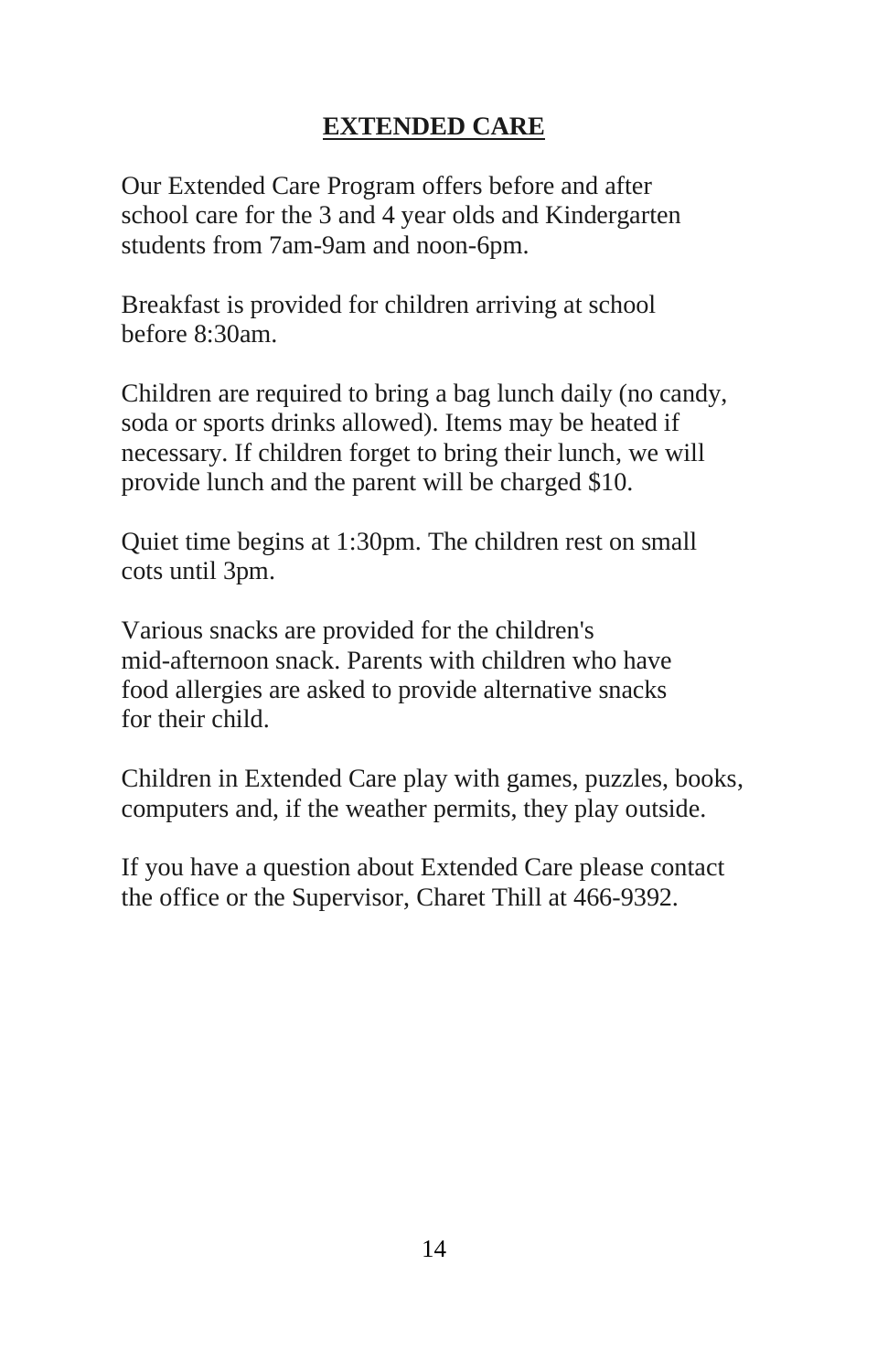# **EXTENDED CARE**

Our Extended Care Program offers before and after school care for the 3 and 4 year olds and Kindergarten students from 7am-9am and noon-6pm.

Breakfast is provided for children arriving at school before 8:30am.

Children are required to bring a bag lunch daily (no candy, soda or sports drinks allowed). Items may be heated if necessary. If children forget to bring their lunch, we will provide lunch and the parent will be charged \$10.

Quiet time begins at 1:30pm. The children rest on small cots until 3pm.

Various snacks are provided for the children's mid-afternoon snack. Parents with children who have food allergies are asked to provide alternative snacks for their child.

Children in Extended Care play with games, puzzles, books, computers and, if the weather permits, they play outside.

If you have a question about Extended Care please contact the office or the Supervisor, Charet Thill at 466-9392.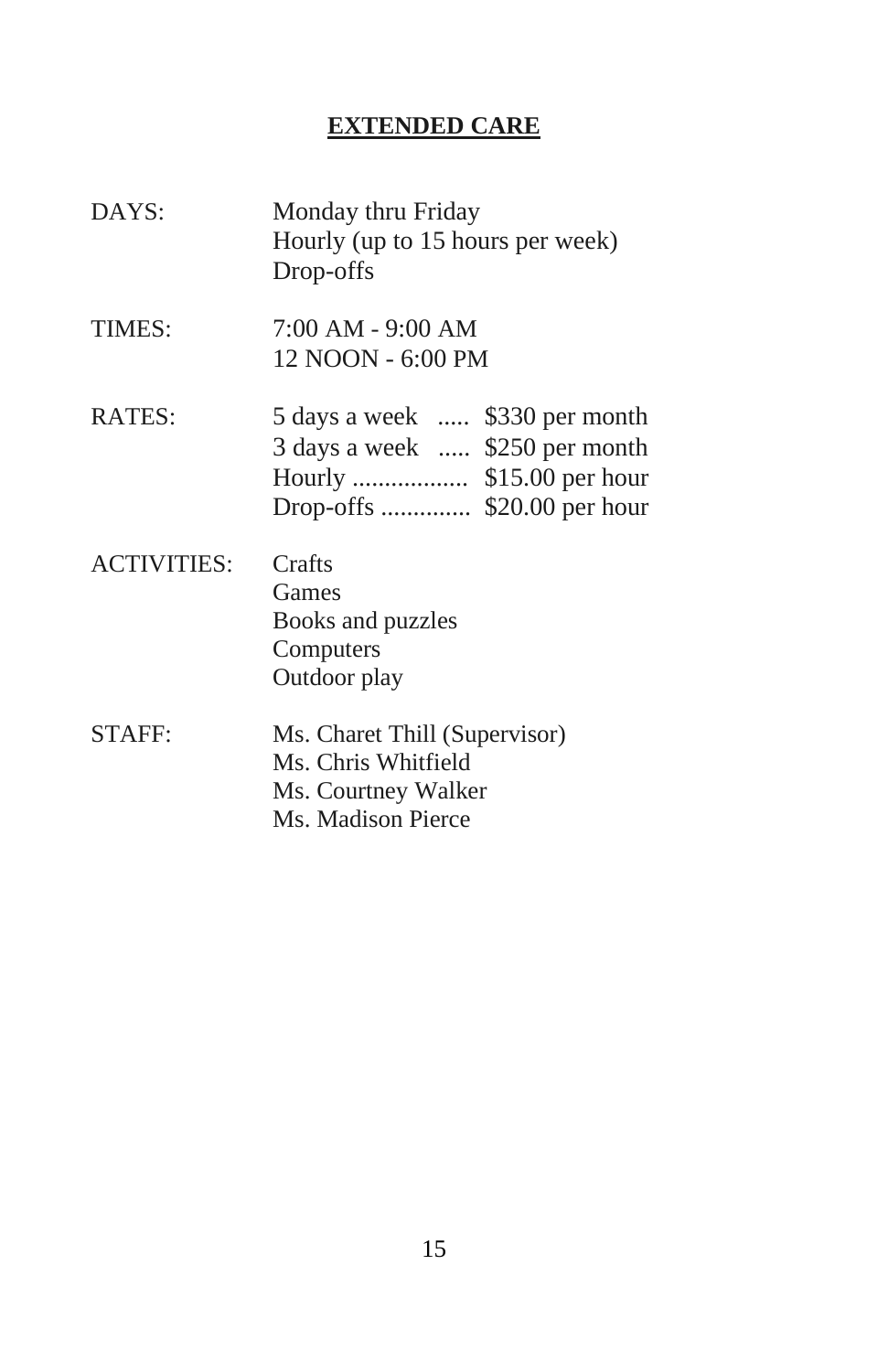### **EXTENDED CARE**

| DAYS:              | Monday thru Friday<br>Hourly (up to 15 hours per week)<br>Drop-offs                               |
|--------------------|---------------------------------------------------------------------------------------------------|
| TIMES:             | 7:00 AM - 9:00 AM<br>12 NOON - 6:00 PM                                                            |
| RATES:             | 5 days a week  \$330 per month<br>3 days a week  \$250 per month<br>Drop-offs  \$20.00 per hour   |
| <b>ACTIVITIES:</b> | Crafts<br>Games<br>Books and puzzles<br>Computers<br>Outdoor play                                 |
| STAFF:             | Ms. Charet Thill (Supervisor)<br>Ms. Chris Whitfield<br>Ms. Courtney Walker<br>Ms. Madison Pierce |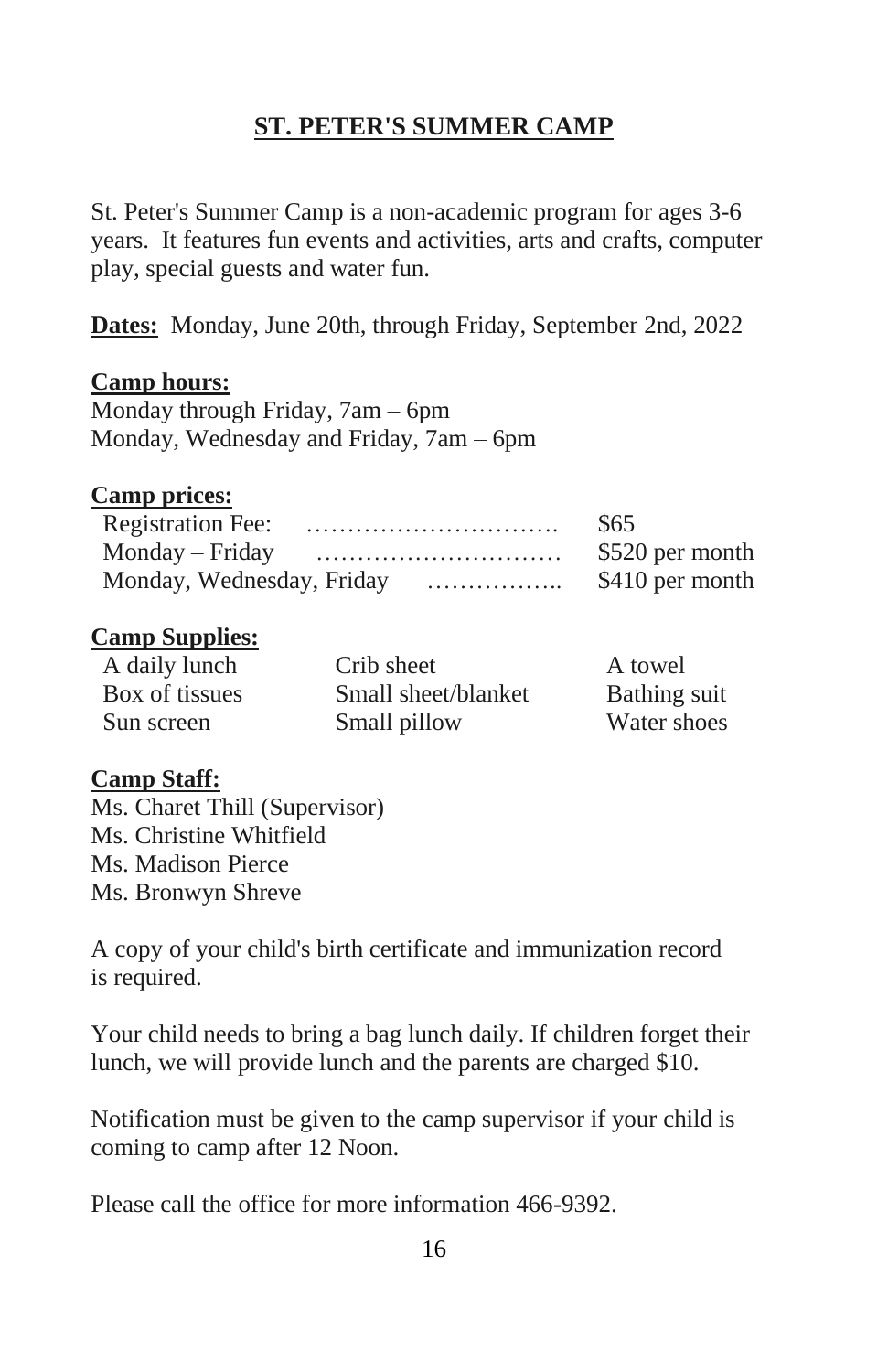# **ST. PETER'S SUMMER CAMP**

St. Peter's Summer Camp is a non-academic program for ages 3-6 years. It features fun events and activities, arts and crafts, computer play, special guests and water fun.

**Dates:** Monday, June 20th, through Friday, September 2nd, 2022

#### **Camp hours:**

Monday through Friday, 7am – 6pm Monday, Wednesday and Friday, 7am – 6pm

#### **Camp prices:**

|                                | \$65            |
|--------------------------------|-----------------|
|                                | \$520 per month |
| Monday, Wednesday, Friday<br>. | \$410 per month |

#### **Camp Supplies:**

| A daily lunch  | Crib sheet          | A towel      |
|----------------|---------------------|--------------|
| Box of tissues | Small sheet/blanket | Bathing suit |
| Sun screen     | Small pillow        | Water shoes  |

#### **Camp Staff:**

Ms. Charet Thill (Supervisor) Ms. Christine Whitfield Ms. Madison Pierce Ms. Bronwyn Shreve

A copy of your child's birth certificate and immunization record is required.

Your child needs to bring a bag lunch daily. If children forget their lunch, we will provide lunch and the parents are charged \$10.

Notification must be given to the camp supervisor if your child is coming to camp after 12 Noon.

Please call the office for more information 466-9392.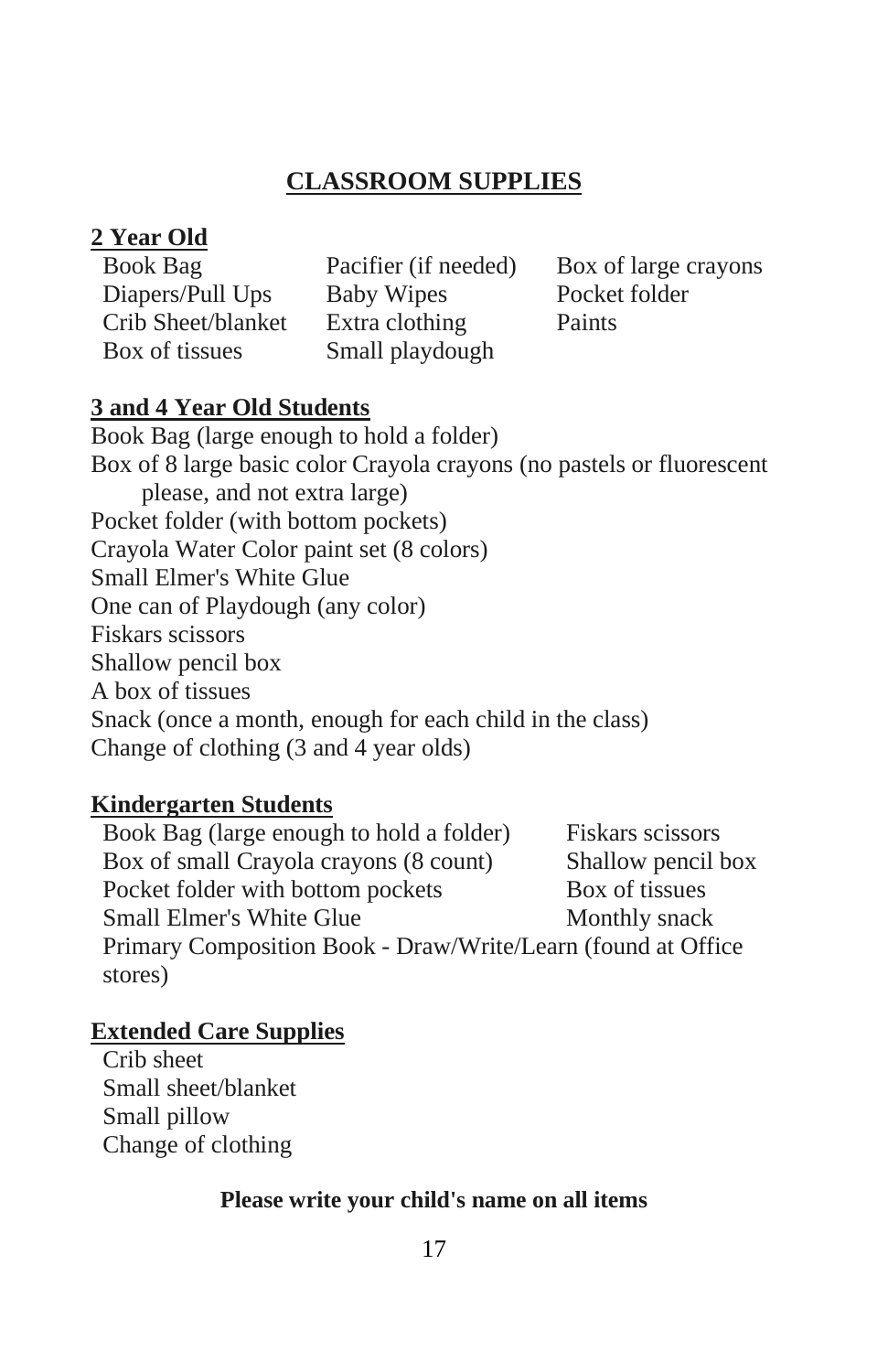## **CLASSROOM SUPPLIES**

#### **2 Year Old**

Diapers/Pull Ups Baby Wipes Pocket folder Crib Sheet/blanket Extra clothing Paints Box of tissues Small playdough

Book Bag Pacifier (if needed) Box of large crayons

#### **3 and 4 Year Old Students**

Book Bag (large enough to hold a folder) Box of 8 large basic color Crayola crayons (no pastels or fluorescent please, and not extra large) Pocket folder (with bottom pockets) Crayola Water Color paint set (8 colors) Small Elmer's White Glue One can of Playdough (any color) Fiskars scissors Shallow pencil box A box of tissues Snack (once a month, enough for each child in the class) Change of clothing (3 and 4 year olds)

### **Kindergarten Students**

Book Bag (large enough to hold a folder) Fiskars scissors Box of small Crayola crayons (8 count) Shallow pencil box Pocket folder with bottom pockets Box of tissues Small Elmer's White Glue Monthly snack Primary Composition Book - Draw/Write/Learn (found at Office stores)

### **Extended Care Supplies**

Crib sheet Small sheet/blanket Small pillow Change of clothing

#### **Please write your child's name on all items**